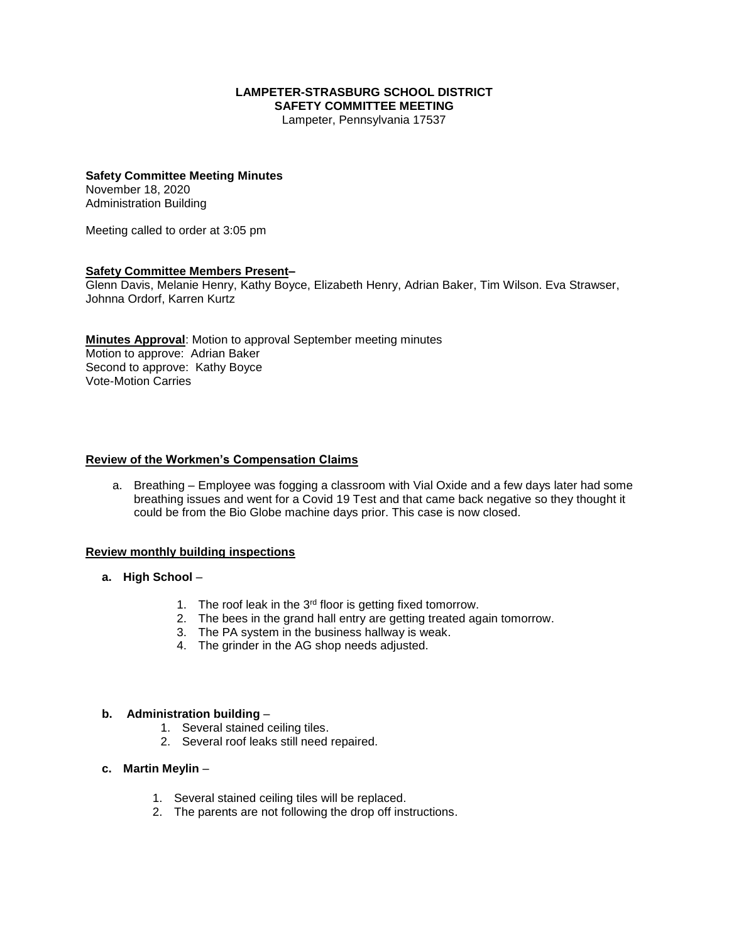#### **LAMPETER-STRASBURG SCHOOL DISTRICT SAFETY COMMITTEE MEETING**

Lampeter, Pennsylvania 17537

#### **Safety Committee Meeting Minutes** November 18, 2020

Administration Building

Meeting called to order at 3:05 pm

## **Safety Committee Members Present–**

Glenn Davis, Melanie Henry, Kathy Boyce, Elizabeth Henry, Adrian Baker, Tim Wilson. Eva Strawser, Johnna Ordorf, Karren Kurtz

**Minutes Approval**: Motion to approval September meeting minutes Motion to approve: Adrian Baker Second to approve: Kathy Boyce Vote-Motion Carries

### **Review of the Workmen's Compensation Claims**

a. Breathing – Employee was fogging a classroom with Vial Oxide and a few days later had some breathing issues and went for a Covid 19 Test and that came back negative so they thought it could be from the Bio Globe machine days prior. This case is now closed.

### **Review monthly building inspections**

- **a. High School**
	- 1. The roof leak in the  $3<sup>rd</sup>$  floor is getting fixed tomorrow.
	- 2. The bees in the grand hall entry are getting treated again tomorrow.
	- 3. The PA system in the business hallway is weak.
	- 4. The grinder in the AG shop needs adjusted.

### **b. Administration building** –

- 1. Several stained ceiling tiles.
- 2. Several roof leaks still need repaired.

## **c. Martin Meylin** –

- 1. Several stained ceiling tiles will be replaced.
- 2. The parents are not following the drop off instructions.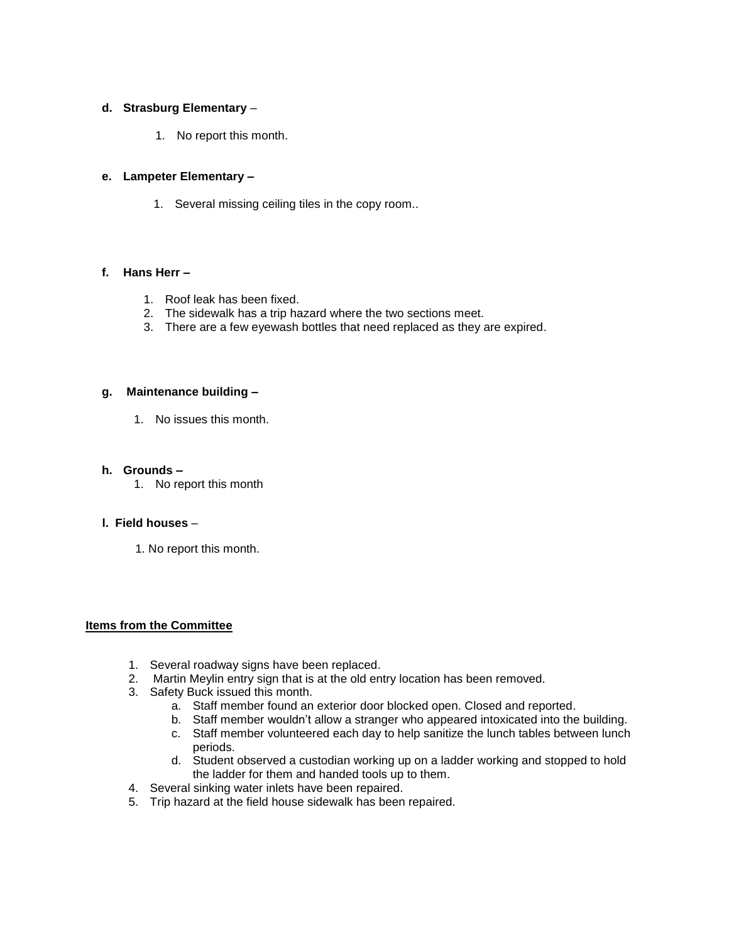## **d. Strasburg Elementary** –

1. No report this month.

## **e. Lampeter Elementary –**

1. Several missing ceiling tiles in the copy room..

## **f. Hans Herr –**

- 1. Roof leak has been fixed.
- 2. The sidewalk has a trip hazard where the two sections meet.
- 3. There are a few eyewash bottles that need replaced as they are expired.

### **g. Maintenance building –**

1. No issues this month.

## **h. Grounds –**

1. No report this month

## **l. Field houses** –

1. No report this month.

### **Items from the Committee**

- 1. Several roadway signs have been replaced.
- 2. Martin Meylin entry sign that is at the old entry location has been removed.
- 3. Safety Buck issued this month.
	- a. Staff member found an exterior door blocked open. Closed and reported.
	- b. Staff member wouldn't allow a stranger who appeared intoxicated into the building.
	- c. Staff member volunteered each day to help sanitize the lunch tables between lunch periods.
	- d. Student observed a custodian working up on a ladder working and stopped to hold the ladder for them and handed tools up to them.
- 4. Several sinking water inlets have been repaired.
- 5. Trip hazard at the field house sidewalk has been repaired.